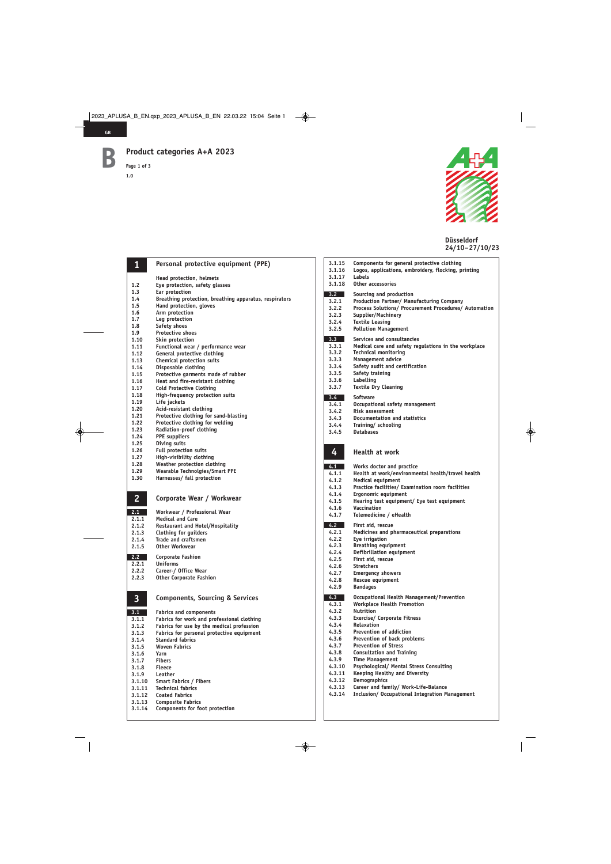**1.2 1.2 1.2 1.2 1.2 1.2 1.2 1.2 1.2 1.2 1.2 1.2 1.2 1.2 1.2 1.2 1.2 1.2 1.2 1.2 1.2 1.2 1.2 1.2 1.2 1.2 1.2 1.2 1.2 1.2 1.2 1.2 1.2 1.2 1.2 1.2 1.2**

**1.3 Ear protection** 

**1.12 General protective clothing 1.13 Chemical protection suits 1.14 Disposable clothing** 

**1.17 Cold Protective Clothing** 

**1.20 Acid-resistant clothing** 

**1.23 Radiation-proof clothing 1.24 PPE suppliers** 

**1.27 High-visibility clothing 1.28 Weather protection clothing** 

**1.30 Harnesses/ fall protection** 

**1.19 Life jackets** 

**1.25 Diving suits 1.26 Full protection suits** 

**2.1.1 Medical and Care** 

**2.1.5 Other Workwear 2.2 Corporate Fashion** 

**2.2.1 Uniforms** 

**2.1.3 Clothing for guilders 2.1.4 Trade and craftsmen** 

**2.2.2 Career-/ Office Wear 2.2.3 Other Corporate Fashion** 

**3.1 Fabrics and components** 

**3.1.10 Smart Fabrics / Fibers** 

**3.1.14 Components for foot protection** 

**3.1.4 Standard fabrics 3.1.5 Woven Fabrics 3.1.6 Yarn 3.1.7 Fibers** 

**3.1.11 Technical fabrics 3.1.12 Coated Fabrics 3.1.13 Composite Fabrics** 

**3.1.8 Fleece 3.1.9 Leather** 

**1.6 Arm protection 1.7 Leg protection 1.8 Safety shoes 1.9 Protective shoes 1.10 Skin protection** 

**1.5 Hand protection, gloves** 

**Page 1 of 3 1.0**

**1**

**2**

**3**



**Düsseldorf 24/10–27/10/23**

**4 Personal protective equipment (PPE) 1.2 Eye protection, safety glasses 1.4 Breathing protection, breathing apparatus, respirators 1.11 Functional wear / performance wear 1.15 Protective garments made of rubber 1.16 Heat and fire-resistant clothing 1.18 High-frequency protection suits 1.21 Protective clothing for sand-blasting 1.22 Protective clothing for welding 1.29 Wearable Technolgies/Smart PPE Corporate Wear / Workwear**  2.1 Workwear / Professional Wear<br>2.1.1 Medical and Care **2.1.2 Restaurant and Hotel/Hospitality Components, Sourcing & Services 3.1.1 Fabrics for work and professional clothing 3.1.2 Fabrics for use by the medical profession 3.1.3 Fabrics for personal protective equipment 3.1.15 Components for general protective clothing 3.1.16 Logos, applications, embroidery, flocking, printing 3.1.17**<br>**3.1.18 3.1.18 Other accessories 3.2** Sourcing and production<br>**3.2.1** Production Partner/Manu **3.2.1 Production Partner/ Manufacturing Company 3.2.2 Process Solutions/ Procurement Procedures/ Automation 3.2.3 Supplier/Machinery 3.2.4 Textile Leasing 3.2.5 Pollution Management 3.3** Services and consultancies **3.3.1 Medical care and safety regulations in the workplace 3.3.2 Technical monitoring 3.3.3 Management advice 3.3.4 Safety audit and certification 3.3.5 Safety training 3.3.6 Labelling 3.3.7 Textile Dry Cleaning 3.4 Software 3.4.1 Occupational safety management 3.4.2 Risk assessment 3.4.3 Documentation and statistics 3.4.4 Training/ schooling 3.4.5 Databases Health at work 4.1 Works doctor and practice 4.1.1 Health at work/environmental health/travel health 4.1.2 Medical equipment 4.1.3 Practice facilities/ Examination room facilities 4.1.4 Ergonomic equipment 4.1.5 Hearing test equipment/ Eye test equipment 4.1.6 Vaccination 4.1.7 Telemedicine / eHealth 4.2 First aid, rescue 4.2.1 Medicines and pharmaceutical preparations 4.2.2 Eye irrigation 4.2.3 Breathing equipment 4.2.4 Defibrillation equipment 4.2.5 First aid, rescue 4.2.6 Stretchers 4.2.7 Emergency showers 4.2.8 Rescue equipment 4.2.9 Bandages 4.3 Occupational Health Management/Prevention 4.3.1 Workplace Health Promotion 4.3.2 Nutrition 4.3.3 Exercise/ Corporate Fitness 4.3.4 Relaxation 4.3.5 Prevention of addiction 4.3.6 Prevention of back problems 4.3.7 Prevention of Stress 4.3.8 Consultation and Training 4.3.9 Time Management 4.3.10 Psychological/ Mental Stress Consulting 4.3.11 Keeping Healthy and Diversity 4.3.12 Demographics 4.3.13 Career and family/ Work-Life-Balance 4.3.14 Inclusion/ Occupational Integration Management** 

**B**

**GB**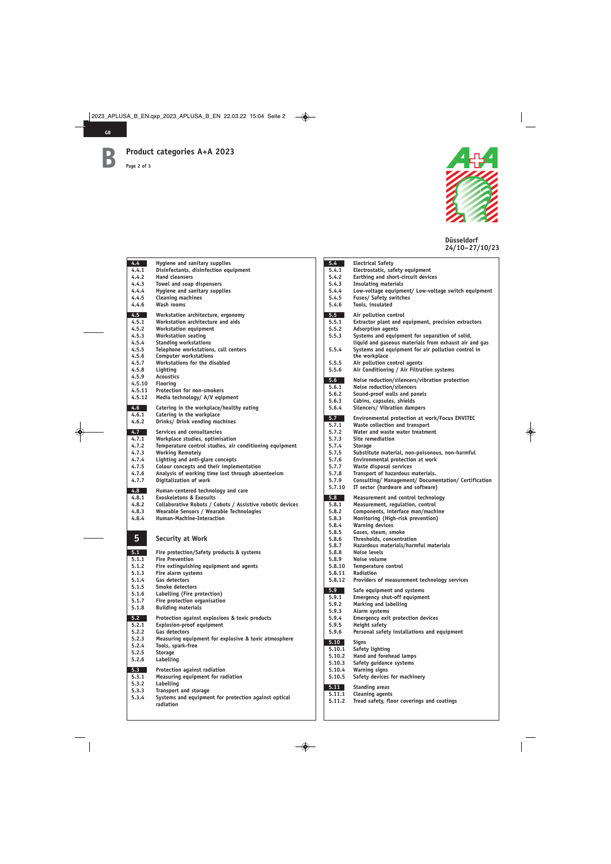**Page 2 of 3**



**Düsseldorf 24/10–27/10/23**

| $4.4^{\circ}$       | Hygiene and sanitary supplies                                                |
|---------------------|------------------------------------------------------------------------------|
| 4.4.1               | Disinfectants, disinfection equipment                                        |
| 4.4.2<br>4.4.3      | <b>Hand cleansers</b>                                                        |
| 4.4.4               | Towel and soap dispensers<br>Hygiene and sanitary supplies                   |
| 4.4.5               | <b>Cleaning machines</b>                                                     |
| 4.4.6               | Wash rooms                                                                   |
| 4.5                 | Workstation architecture, ergonomy                                           |
| 4.5.1               | Workstation architecture and aids                                            |
| 4.5.2               | <b>Workstation equipment</b>                                                 |
| 4.5.3               | <b>Workstation seating</b>                                                   |
| 4.5.4<br>4.5.5      | <b>Standing workstations</b><br>Telephone workstations, call centers         |
| 4.5.6               | <b>Computer workstations</b>                                                 |
| 4.5.7               | Workstations for the disabled                                                |
| 4.5.8               | Lighting                                                                     |
| 4.5.9               | <b>Acoustics</b>                                                             |
| 4.5.10              | <b>Flooring</b>                                                              |
| 4.5.11<br>4.5.12    | <b>Protection for non-smokers</b><br>Media technology/ A/V eqipment          |
|                     |                                                                              |
| 4.6<br>a l<br>4.6.1 | Catering in the workplace/healthy eating<br>Catering in the workplace        |
| 4.6.2               | Drinks/ Drink vending machines                                               |
| 4.7                 | Services and consultancies                                                   |
| 4.7.1               | Workplace studies, optimisation                                              |
| 4.7.2               | Temperature control studies, air conditioning equipment                      |
| 4.7.3               | <b>Working Remotely</b>                                                      |
| 4.7.4               | Lighting and anti-glare concepts                                             |
| 4.7.5               | Colour concepts and their implementation                                     |
| 4.7.6<br>4.7.7      | Analysis of working time lost through absenteeism<br>Digitalization of work  |
| 4.8                 | Human-centered technology and care                                           |
| 4.8.1               | <b>Exoskeletons &amp; Exosuits</b>                                           |
| 4.8.2               | Collaborative Robots / Cobots / Assistive robotic devices                    |
| 4.8.3               | Wearable Sensors / Wearable Technologies                                     |
| 4.8.4               | Human-Machine-Interaction                                                    |
|                     |                                                                              |
| 5                   | <b>Security at Work</b>                                                      |
|                     |                                                                              |
| 5.1                 | Fire protection/Safety products & systems                                    |
| 5.1.1               | <b>Fire Prevention</b>                                                       |
| 5.1.2<br>5.1.3      | Fire extinguishing equipment and agents<br>Fire alarm systems                |
| 5.1.4               | Gas detectors                                                                |
| 5.1.5               | Smoke detectors                                                              |
| 5.1.6               | Labelling (Fire protection)                                                  |
| 5.1.7               | Fire protection organisation                                                 |
| 5.1.8               | <b>Building materials</b>                                                    |
| 5.2                 | Protection against explosions & toxic products                               |
| 5.2.1               | <b>Explosion-proof equipment</b>                                             |
| 5.2.2<br>5.2.3      | <b>Gas detectors</b><br>Measuring equipment for explosive & toxic atmosphere |
| 5.2.4               | Tools, spark-free                                                            |
| 5.2.5               | <b>Storage</b>                                                               |
| 5.2.6               | Labelling                                                                    |
| 5.3                 | Protection against radiation                                                 |
| 5.3.1               | <b>Measuring equipment for radiation</b>                                     |
| 5.3.2               | Labelling                                                                    |
| 5.3.3               | <b>Transport and storage</b>                                                 |
| 5.3.4               | Systems and equipment for protection against optical<br>radiation            |
|                     |                                                                              |

| 5.4            | <b>Electrical Safety</b>                                                                  |
|----------------|-------------------------------------------------------------------------------------------|
| 5.4.1          | Electrostatic, safety equipment                                                           |
| 5.4.2          | Earthing and short-circuit devices                                                        |
| 5.4.3          | <b>Insulating materials</b>                                                               |
| 5.4.4          | Low-voltage equipment/ Low-voltage switch equipment                                       |
| 5.4.5          | Fuses/ Safety switches                                                                    |
| 5.4.6          | Tools, insulated                                                                          |
| 5.5            | Air pollution control                                                                     |
| 5.5.1          | Extractor plant and equipment, precision extractors                                       |
| 5.5.2          | <b>Adsorption agents</b>                                                                  |
| 5.5.3          | Systems and equipment for separation of solid,                                            |
|                | liquid and gaseous materials from exhaust air and gas                                     |
| 5.5.4          | Systems and equipment for air pollution control in                                        |
|                | the workplace                                                                             |
| 5.5.5          | Air pollution control agents                                                              |
| 5.5.6          | Air Conditioning / Air Filtration systems                                                 |
|                |                                                                                           |
| 5.6            | Noise reduction/silencers/vibration protection<br>Noise reduction/silencers               |
| 5.6.1<br>5.6.2 | Sound-proof walls and panels                                                              |
| 5.6.3          | Cabins, capsules, shields                                                                 |
| 5.6.4          | <b>Silencers/ Vibration dampers</b>                                                       |
|                |                                                                                           |
| 5.7            | Environmental protection at work/Focus ENVITEC                                            |
| 5.7.1          | Waste collection and transport                                                            |
| 5.7.2          | Water and waste water treatment                                                           |
| 5.7.3          | <b>Site remediation</b>                                                                   |
| 5.7.4          | <b>Storage</b>                                                                            |
| 5.7.5          | Substitute material, non-poisonous, non-harmful                                           |
| 5.7.6          | <b>Environmental protection at work</b>                                                   |
| 5.7.7          | Waste disposal services                                                                   |
| 5.7.8<br>5.7.9 | Transport of hazardous materials.<br>Consulting/ Management/ Documentation/ Certification |
|                |                                                                                           |
|                |                                                                                           |
| 5.7.10         | IT sector (hardware and software)                                                         |
| 5.8            | Measurement and control technology                                                        |
| 5.8.1          | Measurement, regulation, control                                                          |
| 5.8.2          | Components, interface man/machine                                                         |
| 5.8.3          | Monitoring (High-risk prevention)                                                         |
| 5.8.4          | <b>Warning devices</b>                                                                    |
| 5.8.5          | Gases, steam, smoke                                                                       |
| 5.8.6          | Thresholds, concentration                                                                 |
| 5.8.7          | Hazardous materials/harmful materials                                                     |
| 5.8.8          | <b>Noise levels</b>                                                                       |
| 5.8.9          | Noise volume                                                                              |
| 5.8.10         | Temperature control                                                                       |
| 5.8.11         | Radiation                                                                                 |
| 5.8.12         | Providers of measurement technology services                                              |
| 5.9            | Safe equipment and systems                                                                |
| 5.9.1          | <b>Emergency shut-off equipment</b>                                                       |
| 5.9.2          | Marking and labelling                                                                     |
| 5.9.3          | Alarm systems                                                                             |
| 5.9.4          | <b>Emergency exit protection devices</b>                                                  |
| 5.9.5          | <b>Height safety</b>                                                                      |
| 5.9.6          | Personal safety installations and equipment                                               |
| 5.10           | Signs                                                                                     |
| 5.10.1         | Safety lighting                                                                           |
| 5.10.2         | Hand and forehead lamps                                                                   |
| 5.10.3         | Safety guidance systems                                                                   |
| 5.10.4         | <b>Warning signs</b>                                                                      |
| 5.10.5         | Safety devices for machinery                                                              |
|                |                                                                                           |
| 5.11<br>5.11.1 | <b>Standing areas</b><br><b>Cleaning agents</b>                                           |
| 5.11.2         | Tread safety, floor coverings and coatings                                                |
|                |                                                                                           |

**B**